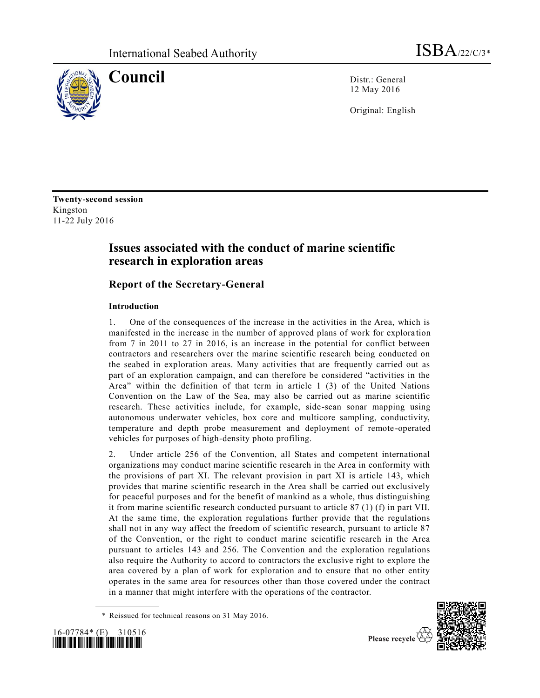

**Council** Distr.: General 12 May 2016

Original: English

**Twenty-second session** Kingston 11-22 July 2016

# **Issues associated with the conduct of marine scientific research in exploration areas**

# **Report of the Secretary-General**

## **Introduction**

1. One of the consequences of the increase in the activities in the Area, which is manifested in the increase in the number of approved plans of work for explora tion from 7 in 2011 to 27 in 2016, is an increase in the potential for conflict between contractors and researchers over the marine scientific research being conducted on the seabed in exploration areas. Many activities that are frequently carried out as part of an exploration campaign, and can therefore be considered "activities in the Area" within the definition of that term in article 1 (3) of the United Nations Convention on the Law of the Sea, may also be carried out as marine scientific research. These activities include, for example, side-scan sonar mapping using autonomous underwater vehicles, box core and multicore sampling, conductivity, temperature and depth probe measurement and deployment of remote -operated vehicles for purposes of high-density photo profiling.

2. Under article 256 of the Convention, all States and competent international organizations may conduct marine scientific research in the Area in conformity with the provisions of part XI. The relevant provision in part XI is article 143, which provides that marine scientific research in the Area shall be carried out exclusively for peaceful purposes and for the benefit of mankind as a whole, thus distinguishing it from marine scientific research conducted pursuant to article 87 (1) (f) in part VII. At the same time, the exploration regulations further provide that the regulations shall not in any way affect the freedom of scientific research, pursuant to article 87 of the Convention, or the right to conduct marine scientific research in the Area pursuant to articles 143 and 256. The Convention and the exploration regulations also require the Authority to accord to contractors the exclusive right to explore the area covered by a plan of work for exploration and to ensure that no other entity operates in the same area for resources other than those covered under the contract in a manner that might interfere with the operations of the contractor.

<sup>\*</sup> Reissued for technical reasons on 31 May 2016.



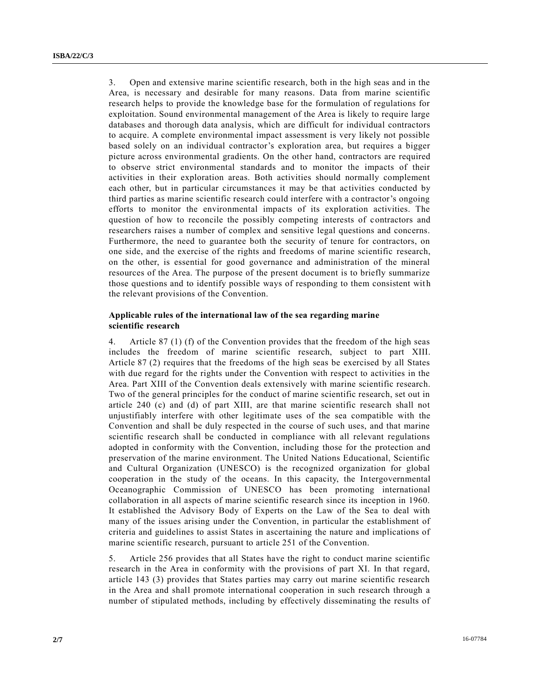3. Open and extensive marine scientific research, both in the high seas and in the Area, is necessary and desirable for many reasons. Data from marine scientific research helps to provide the knowledge base for the formulation of regulations for exploitation. Sound environmental management of the Area is likely to require large databases and thorough data analysis, which are difficult for individual contractors to acquire. A complete environmental impact assessment is very likely not possible based solely on an individual contractor's exploration area, but requires a bigger picture across environmental gradients. On the other hand, contractors are required to observe strict environmental standards and to monitor the impacts of their activities in their exploration areas. Both activities should normally complement each other, but in particular circumstances it may be that activities conducted by third parties as marine scientific research could interfere with a contractor's ongoing efforts to monitor the environmental impacts of its exploration activities. The question of how to reconcile the possibly competing interests of contractors and researchers raises a number of complex and sensitive legal questions and concerns. Furthermore, the need to guarantee both the security of tenure for contractors, on one side, and the exercise of the rights and freedoms of marine scientific research, on the other, is essential for good governance and administration of the mineral resources of the Area. The purpose of the present document is to briefly summarize those questions and to identify possible ways of responding to them consistent wit h the relevant provisions of the Convention.

### **Applicable rules of the international law of the sea regarding marine scientific research**

4. Article 87 (1) (f) of the Convention provides that the freedom of the high seas includes the freedom of marine scientific research, subject to part XIII. Article 87 (2) requires that the freedoms of the high seas be exercised by all States with due regard for the rights under the Convention with respect to activities in the Area. Part XIII of the Convention deals extensively with marine scientific research. Two of the general principles for the conduct of marine scientific research, set out in article 240 (c) and (d) of part XIII, are that marine scientific research shall not unjustifiably interfere with other legitimate uses of the sea compatible with the Convention and shall be duly respected in the course of such uses, and that marine scientific research shall be conducted in compliance with all relevant regulations adopted in conformity with the Convention, including those for the protection and preservation of the marine environment. The United Nations Educational, Scientific and Cultural Organization (UNESCO) is the recognized organization for global cooperation in the study of the oceans. In this capacity, the Intergovernmental Oceanographic Commission of UNESCO has been promoting international collaboration in all aspects of marine scientific research since its inception in 1960. It established the Advisory Body of Experts on the Law of the Sea to deal with many of the issues arising under the Convention, in particular the establishment of criteria and guidelines to assist States in ascertaining the nature and implications of marine scientific research, pursuant to article 251 of the Convention.

5. Article 256 provides that all States have the right to conduct marine scientific research in the Area in conformity with the provisions of part XI. In that regard, article 143 (3) provides that States parties may carry out marine scientific research in the Area and shall promote international cooperation in such research through a number of stipulated methods, including by effectively disseminating the results of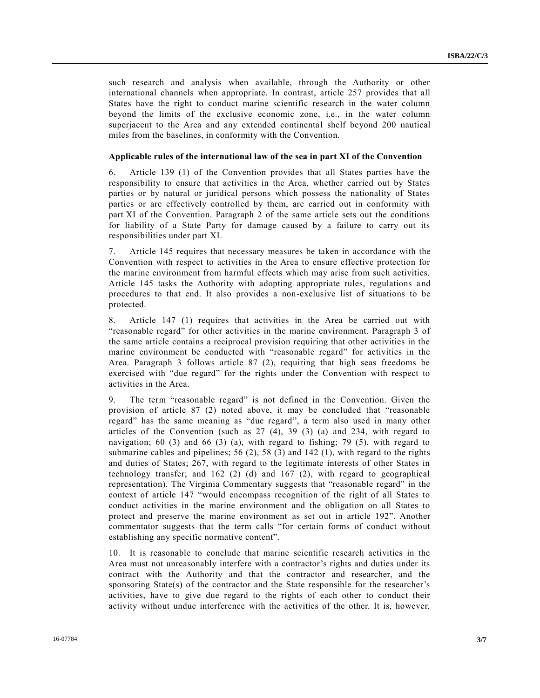such research and analysis when available, through the Authority or other international channels when appropriate. In contrast, article 257 provides that all States have the right to conduct marine scientific research in the water column beyond the limits of the exclusive economic zone, i.e., in the water column superjacent to the Area and any extended continental shelf beyond 200 nautical miles from the baselines, in conformity with the Convention.

#### **Applicable rules of the international law of the sea in part XI of the Convention**

6. Article 139 (1) of the Convention provides that all States parties have the responsibility to ensure that activities in the Area, whether carried out by States parties or by natural or juridical persons which possess the nationality of States parties or are effectively controlled by them, are carried out in conformity with part XI of the Convention. Paragraph 2 of the same article sets out the conditions for liability of a State Party for damage caused by a failure to carry out its responsibilities under part XI.

7. Article 145 requires that necessary measures be taken in accordance with the Convention with respect to activities in the Area to ensure effective protection for the marine environment from harmful effects which may arise from such activities. Article 145 tasks the Authority with adopting appropriate rules, regulations a nd procedures to that end. It also provides a non-exclusive list of situations to be protected.

8. Article 147 (1) requires that activities in the Area be carried out with "reasonable regard" for other activities in the marine environment. Paragraph 3 of the same article contains a reciprocal provision requiring that other activities in the marine environment be conducted with "reasonable regard" for activities in the Area. Paragraph 3 follows article 87 (2), requiring that high seas freedoms be exercised with "due regard" for the rights under the Convention with respect to activities in the Area.

9. The term "reasonable regard" is not defined in the Convention. Given the provision of article 87 (2) noted above, it may be concluded that "reasonable regard" has the same meaning as "due regard", a term also used in many other articles of the Convention (such as 27 (4), 39 (3) (a) and 234, with regard to navigation; 60 (3) and 66 (3) (a), with regard to fishing; 79 (5), with regard to submarine cables and pipelines; 56 (2), 58 (3) and 142 (1), with regard to the rights and duties of States; 267, with regard to the legitimate interests of other States in technology transfer; and 162 (2) (d) and 167 (2), with regard to geographical representation). The Virginia Commentary suggests that "reasonable regard" in the context of article 147 "would encompass recognition of the right of all States to conduct activities in the marine environment and the obligation on all States to protect and preserve the marine environment as set out in article 192". Another commentator suggests that the term calls "for certain forms of conduct without establishing any specific normative content".

10. It is reasonable to conclude that marine scientific research activities in the Area must not unreasonably interfere with a contractor's rights and duties under its contract with the Authority and that the contractor and researcher, and the sponsoring State(s) of the contractor and the State responsible for the researcher's activities, have to give due regard to the rights of each other to conduct their activity without undue interference with the activities of the other. It is, however,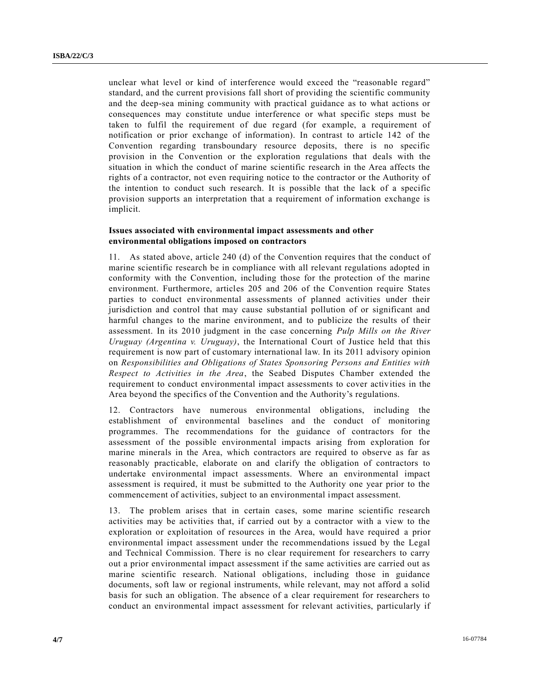unclear what level or kind of interference would exceed the "reasonable regard" standard, and the current provisions fall short of providing the scientific community and the deep-sea mining community with practical guidance as to what actions or consequences may constitute undue interference or what specific steps must be taken to fulfil the requirement of due regard (for example, a requirement of notification or prior exchange of information). In contrast to article 142 of the Convention regarding transboundary resource deposits, there is no specific provision in the Convention or the exploration regulations that deals with the situation in which the conduct of marine scientific research in the Area affects the rights of a contractor, not even requiring notice to the contractor or the Authority of the intention to conduct such research. It is possible that the lack of a specific provision supports an interpretation that a requirement of information exchange is implicit.

### **Issues associated with environmental impact assessments and other environmental obligations imposed on contractors**

11. As stated above, article 240 (d) of the Convention requires that the conduct of marine scientific research be in compliance with all relevant regulations adopted in conformity with the Convention, including those for the protection of the marine environment. Furthermore, articles 205 and 206 of the Convention require States parties to conduct environmental assessments of planned activities under their jurisdiction and control that may cause substantial pollution of or significant and harmful changes to the marine environment, and to publicize the results of their assessment. In its 2010 judgment in the case concerning *Pulp Mills on the River Uruguay (Argentina v. Uruguay)*, the International Court of Justice held that this requirement is now part of customary international law. In its 2011 advisory opinion on *Responsibilities and Obligations of States Sponsoring Persons and Entities with Respect to Activities in the Area*, the Seabed Disputes Chamber extended the requirement to conduct environmental impact assessments to cover activities in the Area beyond the specifics of the Convention and the Authority's regulations.

12. Contractors have numerous environmental obligations, including the establishment of environmental baselines and the conduct of monitoring programmes. The recommendations for the guidance of contractors for the assessment of the possible environmental impacts arising from exploration for marine minerals in the Area, which contractors are required to observe as far as reasonably practicable, elaborate on and clarify the obligation of contractors to undertake environmental impact assessments. Where an environmental impact assessment is required, it must be submitted to the Authority one year prior to the commencement of activities, subject to an environmental impact assessment.

13. The problem arises that in certain cases, some marine scientific research activities may be activities that, if carried out by a contractor with a view to the exploration or exploitation of resources in the Area, would have required a prior environmental impact assessment under the recommendations issued by the Legal and Technical Commission. There is no clear requirement for researchers to carry out a prior environmental impact assessment if the same activities are carried out as marine scientific research. National obligations, including those in guidance documents, soft law or regional instruments, while relevant, may not afford a solid basis for such an obligation. The absence of a clear requirement for researchers to conduct an environmental impact assessment for relevant activities, particularly if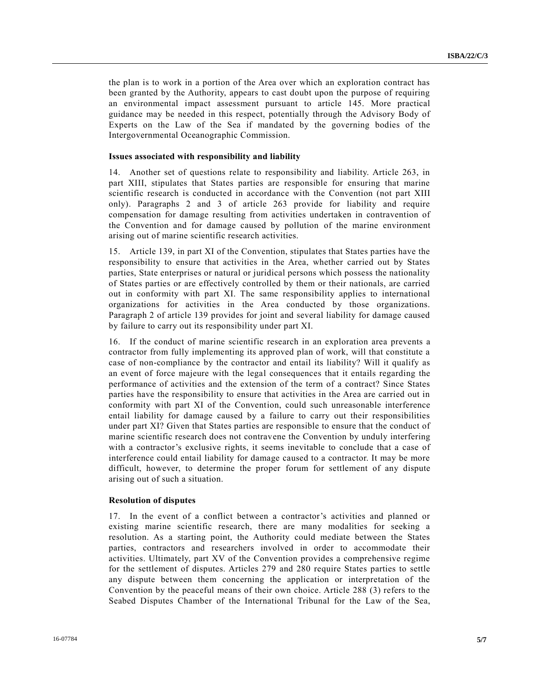the plan is to work in a portion of the Area over which an exploration contract has been granted by the Authority, appears to cast doubt upon the purpose of requiring an environmental impact assessment pursuant to article 145. More practical guidance may be needed in this respect, potentially through the Advisory Body of Experts on the Law of the Sea if mandated by the governing bodies of the Intergovernmental Oceanographic Commission.

#### **Issues associated with responsibility and liability**

14. Another set of questions relate to responsibility and liability. Article 263, in part XIII, stipulates that States parties are responsible for ensuring that marine scientific research is conducted in accordance with the Convention (not part XIII only). Paragraphs 2 and 3 of article 263 provide for liability and require compensation for damage resulting from activities undertaken in contravention of the Convention and for damage caused by pollution of the marine environment arising out of marine scientific research activities.

15. Article 139, in part XI of the Convention, stipulates that States parties have the responsibility to ensure that activities in the Area, whether carried out by States parties, State enterprises or natural or juridical persons which possess the nationality of States parties or are effectively controlled by them or their nationals, are carried out in conformity with part XI. The same responsibility applies to international organizations for activities in the Area conducted by those organizations. Paragraph 2 of article 139 provides for joint and several liability for damage caused by failure to carry out its responsibility under part XI.

16. If the conduct of marine scientific research in an exploration area prevents a contractor from fully implementing its approved plan of work, will that constitute a case of non-compliance by the contractor and entail its liability? Will it qualify as an event of force majeure with the legal consequences that it entails regarding the performance of activities and the extension of the term of a contract? Since States parties have the responsibility to ensure that activities in the Area are carried out in conformity with part XI of the Convention, could such unreasonable interference entail liability for damage caused by a failure to carry out their responsibilities under part XI? Given that States parties are responsible to ensure that the conduct of marine scientific research does not contravene the Convention by unduly interfering with a contractor's exclusive rights, it seems inevitable to conclude that a case of interference could entail liability for damage caused to a contractor. It may be more difficult, however, to determine the proper forum for settlement of any dispute arising out of such a situation.

#### **Resolution of disputes**

17. In the event of a conflict between a contractor's activities and planned or existing marine scientific research, there are many modalities for seeking a resolution. As a starting point, the Authority could mediate between the States parties, contractors and researchers involved in order to accommodate their activities. Ultimately, part XV of the Convention provides a comprehensive regime for the settlement of disputes. Articles 279 and 280 require States parties to settle any dispute between them concerning the application or interpretation of the Convention by the peaceful means of their own choice. Article 288 (3) refers to the Seabed Disputes Chamber of the International Tribunal for the Law of the Sea,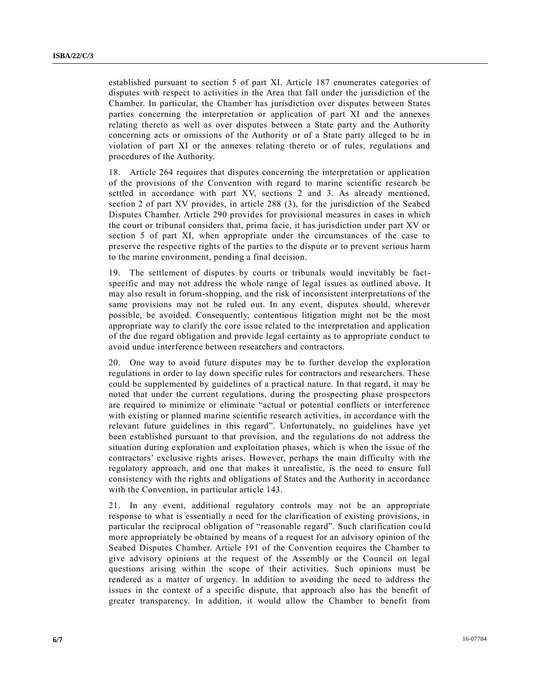established pursuant to section 5 of part XI. Article 187 enumerates categories of disputes with respect to activities in the Area that fall under the jurisdiction of the Chamber. In particular, the Chamber has jurisdiction over disputes between States parties concerning the interpretation or application of part XI and the annexes relating thereto as well as over disputes between a State party and the Authority concerning acts or omissions of the Authority or of a State party alleged to be in violation of part XI or the annexes relating thereto or of rules, regulations and procedures of the Authority.

18. Article 264 requires that disputes concerning the interpretation or application of the provisions of the Convention with regard to marine scientific research be settled in accordance with part XV, sections 2 and 3. As already mentioned, section 2 of part XV provides, in article 288 (3), for the jurisdiction of the Seabed Disputes Chamber. Article 290 provides for provisional measures in cases in which the court or tribunal considers that, prima facie, it has jurisdiction under part XV or section 5 of part XI, when appropriate under the circumstances of the case to preserve the respective rights of the parties to the dispute or to prevent serious harm to the marine environment, pending a final decision.

19. The settlement of disputes by courts or tribunals would inevitably be factspecific and may not address the whole range of legal issues as outlined above. It may also result in forum-shopping, and the risk of inconsistent interpretations of the same provisions may not be ruled out. In any event, disputes should, wherever possible, be avoided. Consequently, contentious litigation might not be the most appropriate way to clarify the core issue related to the interpretation and application of the due regard obligation and provide legal certainty as to appropriate conduct to avoid undue interference between researchers and contractors.

20. One way to avoid future disputes may be to further develop the exploration regulations in order to lay down specific rules for contractors and researchers. These could be supplemented by guidelines of a practical nature. In that regard, it may be noted that under the current regulations, during the prospecting phase prospectors are required to minimize or eliminate "actual or potential conflicts or interference with existing or planned marine scientific research activities, in accordance with the relevant future guidelines in this regard". Unfortunately, no guidelines have yet been established pursuant to that provision, and the regulations do not address the situation during exploration and exploitation phases, which is when the issue of the contractors' exclusive rights arises. However, perhaps the main difficulty with the regulatory approach, and one that makes it unrealistic, is the need to ensure full consistency with the rights and obligations of States and the Authority in accordance with the Convention, in particular article 143.

21. In any event, additional regulatory controls may not be an appropriate response to what is essentially a need for the clarification of existing provisions, in particular the reciprocal obligation of "reasonable regard". Such clarification cou ld more appropriately be obtained by means of a request for an advisory opinion of the Seabed Disputes Chamber. Article 191 of the Convention requires the Chamber to give advisory opinions at the request of the Assembly or the Council on legal questions arising within the scope of their activities. Such opinions must be rendered as a matter of urgency. In addition to avoiding the need to address the issues in the context of a specific dispute, that approach also has the benefit of greater transparency. In addition, it would allow the Chamber to benefit from